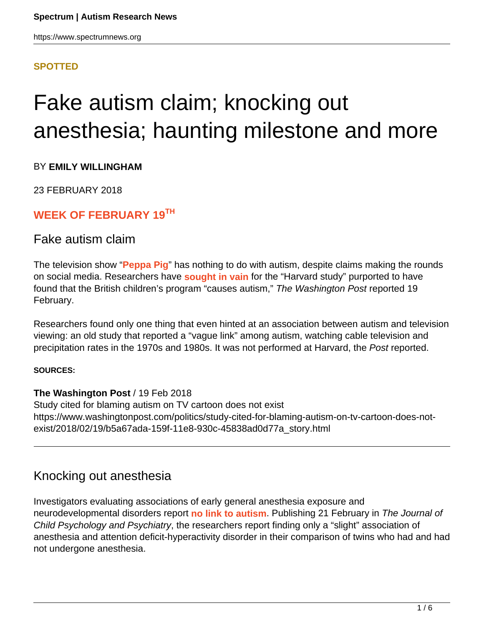## **[SPOTTED](HTTPS://WWW.SPECTRUMNEWS.ORG/NEWS/SPOTTED/)**

# Fake autism claim; knocking out anesthesia; haunting milestone and more

#### BY **EMILY WILLINGHAM**

23 FEBRUARY 2018

## **WEEK OF FEBRUARY 19TH**

## Fake autism claim

The television show "**Peppa Pig**" has nothing to do with autism, despite claims making the rounds on social media. Researchers have **sought in vain** for the "Harvard study" purported to have found that the British children's program "causes autism," The Washington Post reported 19 February.

Researchers found only one thing that even hinted at an association between autism and television viewing: an old study that reported a "vague link" among autism, watching cable television and precipitation rates in the 1970s and 1980s. It was not performed at Harvard, the Post reported.

#### **SOURCES:**

#### **The Washington Post** / 19 Feb 2018

Study cited for blaming autism on TV cartoon does not exist https://www.washingtonpost.com/politics/study-cited-for-blaming-autism-on-tv-cartoon-does-notexist/2018/02/19/b5a67ada-159f-11e8-930c-45838ad0d77a\_story.html

# Knocking out anesthesia

Investigators evaluating associations of early general anesthesia exposure and neurodevelopmental disorders report **no link to autism**. Publishing 21 February in The Journal of Child Psychology and Psychiatry, the researchers report finding only a "slight" association of anesthesia and attention deficit-hyperactivity disorder in their comparison of twins who had and had not undergone anesthesia.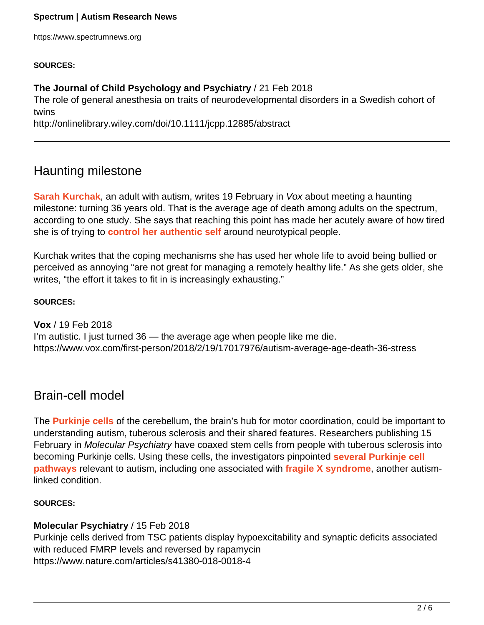#### **SOURCES:**

#### **The Journal of Child Psychology and Psychiatry** / 21 Feb 2018

The role of general anesthesia on traits of neurodevelopmental disorders in a Swedish cohort of twins

http://onlinelibrary.wiley.com/doi/10.1111/jcpp.12885/abstract

# Haunting milestone

**Sarah Kurchak**, an adult with autism, writes 19 February in Vox about meeting a haunting milestone: turning 36 years old. That is the average age of death among adults on the spectrum, according to one study. She says that reaching this point has made her acutely aware of how tired she is of trying to **control her authentic self** around neurotypical people.

Kurchak writes that the coping mechanisms she has used her whole life to avoid being bullied or perceived as annoying "are not great for managing a remotely healthy life." As she gets older, she writes, "the effort it takes to fit in is increasingly exhausting."

#### **SOURCES:**

**Vox** / 19 Feb 2018 I'm autistic. I just turned 36 — the average age when people like me die. https://www.vox.com/first-person/2018/2/19/17017976/autism-average-age-death-36-stress

## Brain-cell model

The **Purkinje cells** of the cerebellum, the brain's hub for motor coordination, could be important to understanding autism, tuberous sclerosis and their shared features. Researchers publishing 15 February in Molecular Psychiatry have coaxed stem cells from people with tuberous sclerosis into becoming Purkinje cells. Using these cells, the investigators pinpointed **several Purkinje cell pathways** relevant to autism, including one associated with **fragile X syndrome**, another autismlinked condition.

#### **SOURCES:**

## **Molecular Psychiatry** / 15 Feb 2018

Purkinje cells derived from TSC patients display hypoexcitability and synaptic deficits associated with reduced FMRP levels and reversed by rapamycin https://www.nature.com/articles/s41380-018-0018-4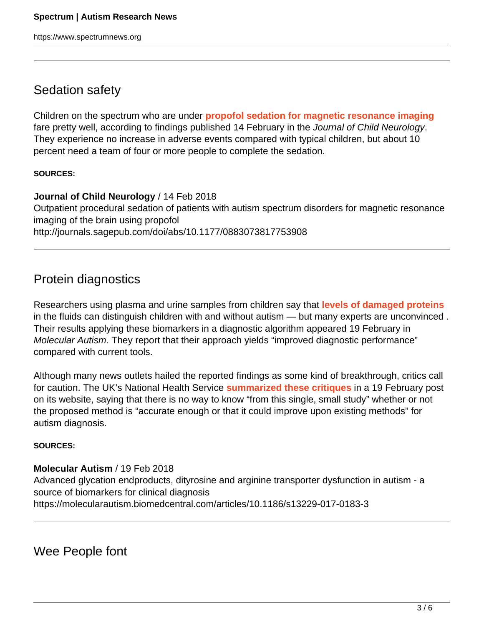# Sedation safety

Children on the spectrum who are under **propofol sedation for magnetic resonance imaging** fare pretty well, according to findings published 14 February in the Journal of Child Neurology. They experience no increase in adverse events compared with typical children, but about 10 percent need a team of four or more people to complete the sedation.

#### **SOURCES:**

**Journal of Child Neurology** / 14 Feb 2018 Outpatient procedural sedation of patients with autism spectrum disorders for magnetic resonance imaging of the brain using propofol http://journals.sagepub.com/doi/abs/10.1177/0883073817753908

# Protein diagnostics

Researchers using plasma and urine samples from children say that **levels of damaged proteins** in the fluids can distinguish children with and without autism — but many experts are unconvinced . Their results applying these biomarkers in a diagnostic algorithm appeared 19 February in Molecular Autism. They report that their approach yields "improved diagnostic performance" compared with current tools.

Although many news outlets hailed the reported findings as some kind of breakthrough, critics call for caution. The UK's National Health Service **summarized these critiques** in a 19 February post on its website, saying that there is no way to know "from this single, small study" whether or not the proposed method is "accurate enough or that it could improve upon existing methods" for autism diagnosis.

#### **SOURCES:**

#### **Molecular Autism** / 19 Feb 2018

Advanced glycation endproducts, dityrosine and arginine transporter dysfunction in autism - a source of biomarkers for clinical diagnosis https://molecularautism.biomedcentral.com/articles/10.1186/s13229-017-0183-3

Wee People font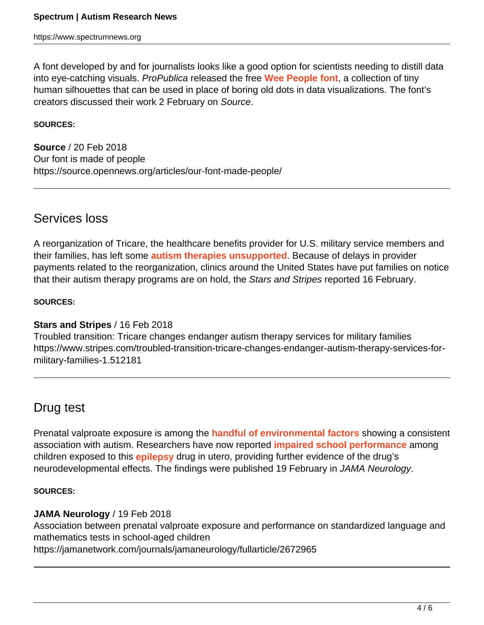A font developed by and for journalists looks like a good option for scientists needing to distill data into eye-catching visuals. ProPublica released the free **Wee People font**, a collection of tiny human silhouettes that can be used in place of boring old dots in data visualizations. The font's creators discussed their work 2 February on Source.

#### **SOURCES:**

**Source** / 20 Feb 2018 Our font is made of people https://source.opennews.org/articles/our-font-made-people/

## Services loss

A reorganization of Tricare, the healthcare benefits provider for U.S. military service members and their families, has left some **autism therapies unsupported**. Because of delays in provider payments related to the reorganization, clinics around the United States have put families on notice that their autism therapy programs are on hold, the Stars and Stripes reported 16 February.

#### **SOURCES:**

#### **Stars and Stripes** / 16 Feb 2018

Troubled transition: Tricare changes endanger autism therapy services for military families https://www.stripes.com/troubled-transition-tricare-changes-endanger-autism-therapy-services-formilitary-families-1.512181

## Drug test

Prenatal valproate exposure is among the **handful of environmental factors** showing a consistent association with autism. Researchers have now reported **impaired school performance** among children exposed to this **epilepsy** drug in utero, providing further evidence of the drug's neurodevelopmental effects. The findings were published 19 February in JAMA Neurology.

#### **SOURCES:**

#### **JAMA Neurology** / 19 Feb 2018

Association between prenatal valproate exposure and performance on standardized language and mathematics tests in school-aged children

https://jamanetwork.com/journals/jamaneurology/fullarticle/2672965